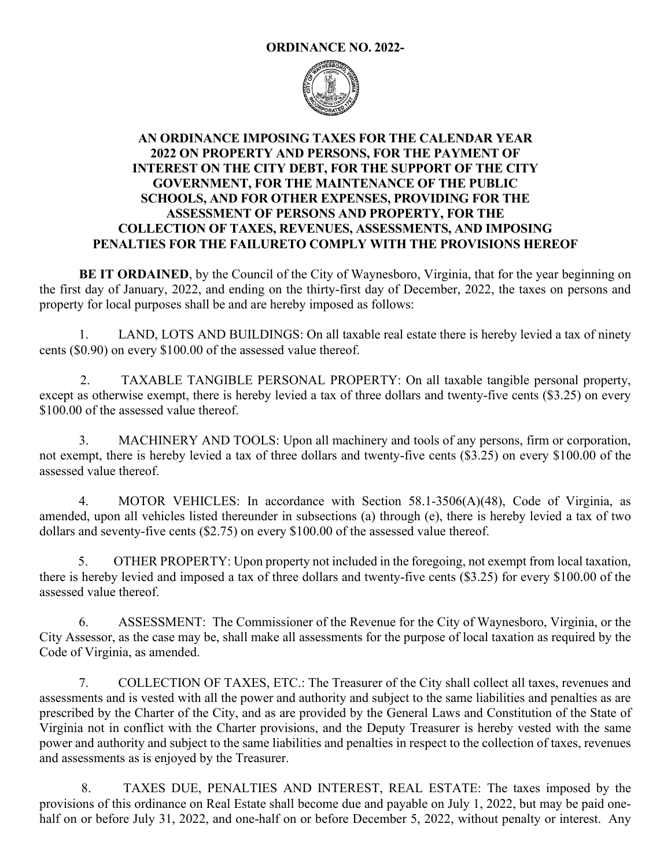## **ORDINANCE NO. 2022-**



## **AN ORDINANCE IMPOSING TAXES FOR THE CALENDAR YEAR 2022 ON PROPERTY AND PERSONS, FOR THE PAYMENT OF INTEREST ON THE CITY DEBT, FOR THE SUPPORT OF THE CITY GOVERNMENT, FOR THE MAINTENANCE OF THE PUBLIC SCHOOLS, AND FOR OTHER EXPENSES, PROVIDING FOR THE ASSESSMENT OF PERSONS AND PROPERTY, FOR THE COLLECTION OF TAXES, REVENUES, ASSESSMENTS, AND IMPOSING PENALTIES FOR THE FAILURETO COMPLY WITH THE PROVISIONS HEREOF**

**BE IT ORDAINED**, by the Council of the City of Waynesboro, Virginia, that for the year beginning on the first day of January, 2022, and ending on the thirty-first day of December, 2022, the taxes on persons and property for local purposes shall be and are hereby imposed as follows:

 1. LAND, LOTS AND BUILDINGS: On all taxable real estate there is hereby levied a tax of ninety cents (\$0.90) on every \$100.00 of the assessed value thereof.

 2. TAXABLE TANGIBLE PERSONAL PROPERTY: On all taxable tangible personal property, except as otherwise exempt, there is hereby levied a tax of three dollars and twenty-five cents (\$3.25) on every \$100.00 of the assessed value thereof.

 3. MACHINERY AND TOOLS: Upon all machinery and tools of any persons, firm or corporation, not exempt, there is hereby levied a tax of three dollars and twenty-five cents (\$3.25) on every \$100.00 of the assessed value thereof.

4. MOTOR VEHICLES: In accordance with Section 58.1-3506(A)(48), Code of Virginia, as amended, upon all vehicles listed thereunder in subsections (a) through (e), there is hereby levied a tax of two dollars and seventy-five cents (\$2.75) on every \$100.00 of the assessed value thereof.

 5. OTHER PROPERTY: Upon property not included in the foregoing, not exempt from local taxation, there is hereby levied and imposed a tax of three dollars and twenty-five cents (\$3.25) for every \$100.00 of the assessed value thereof.

 6. ASSESSMENT: The Commissioner of the Revenue for the City of Waynesboro, Virginia, or the City Assessor, as the case may be, shall make all assessments for the purpose of local taxation as required by the Code of Virginia, as amended.

 7. COLLECTION OF TAXES, ETC.: The Treasurer of the City shall collect all taxes, revenues and assessments and is vested with all the power and authority and subject to the same liabilities and penalties as are prescribed by the Charter of the City, and as are provided by the General Laws and Constitution of the State of Virginia not in conflict with the Charter provisions, and the Deputy Treasurer is hereby vested with the same power and authority and subject to the same liabilities and penalties in respect to the collection of taxes, revenues and assessments as is enjoyed by the Treasurer.

 8. TAXES DUE, PENALTIES AND INTEREST, REAL ESTATE: The taxes imposed by the provisions of this ordinance on Real Estate shall become due and payable on July 1, 2022, but may be paid onehalf on or before July 31, 2022, and one-half on or before December 5, 2022, without penalty or interest. Any